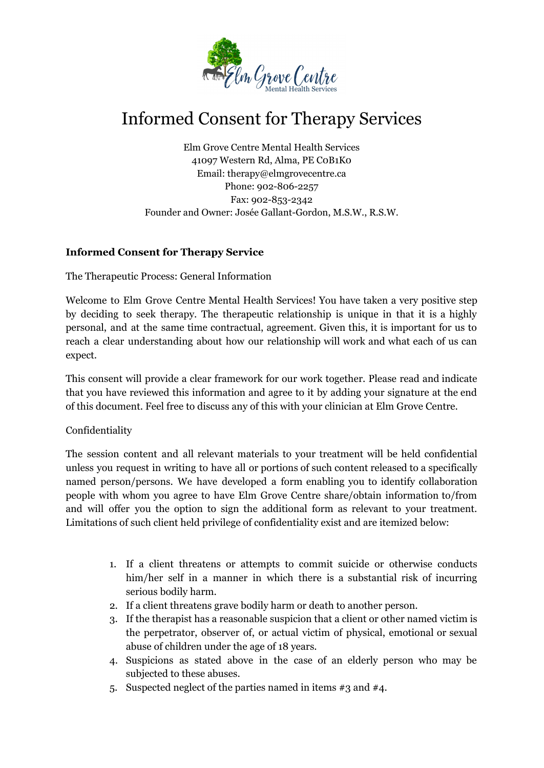

## Informed Consent for Therapy Services

Elm Grove Centre Mental Health Services 41097 Western Rd, Alma, PE C0B1K0 Email: therapy@elmgrovecentre.ca Phone: 902-806-2257 Fax: 902-853-2342 Founder and Owner: Josée Gallant-Gordon, M.S.W., R.S.W.

## **Informed Consent for Therapy Service**

The Therapeutic Process: General Information

Welcome to Elm Grove Centre Mental Health Services! You have taken a very positive step by deciding to seek therapy. The therapeutic relationship is unique in that it is a highly personal, and at the same time contractual, agreement. Given this, it is important for us to reach a clear understanding about how our relationship will work and what each of us can expect.

This consent will provide a clear framework for our work together. Please read and indicate that you have reviewed this information and agree to it by adding your signature at the end of this document. Feel free to discuss any of this with your clinician at Elm Grove Centre.

## Confidentiality

The session content and all relevant materials to your treatment will be held confidential unless you request in writing to have all or portions of such content released to a specifically named person/persons. We have developed a form enabling you to identify collaboration people with whom you agree to have Elm Grove Centre share/obtain information to/from and will offer you the option to sign the additional form as relevant to your treatment. Limitations of such client held privilege of confidentiality exist and are itemized below:

- 1. If a client threatens or attempts to commit suicide or otherwise conducts him/her self in a manner in which there is a substantial risk of incurring serious bodily harm.
- 2. If a client threatens grave bodily harm or death to another person.
- 3. If the therapist has a reasonable suspicion that a client or other named victim is the perpetrator, observer of, or actual victim of physical, emotional or sexual abuse of children under the age of 18 years.
- 4. Suspicions as stated above in the case of an elderly person who may be subjected to these abuses.
- 5. Suspected neglect of the parties named in items #3 and #4.